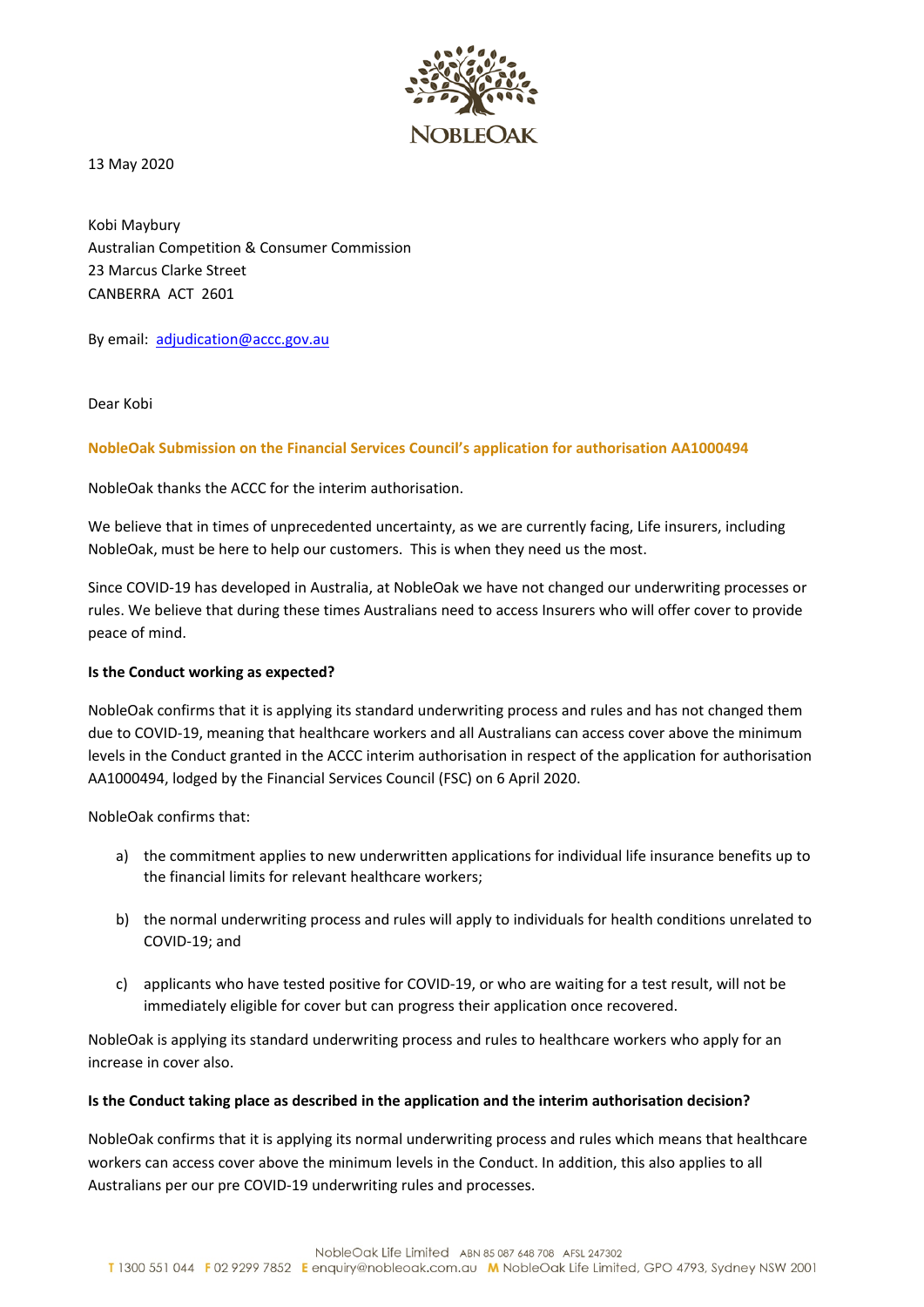

13 May 2020

Kobi Maybury Australian Competition & Consumer Commission 23 Marcus Clarke Street CANBERRA ACT 2601

By email: [adjudication@accc.gov.au](mailto:adjudication@accc.gov.au)

Dear Kobi

# **NobleOak Submission on the Financial Services Council's application for authorisation AA1000494**

NobleOak thanks the ACCC for the interim authorisation.

We believe that in times of unprecedented uncertainty, as we are currently facing, Life insurers, including NobleOak, must be here to help our customers. This is when they need us the most.

Since COVID-19 has developed in Australia, at NobleOak we have not changed our underwriting processes or rules. We believe that during these times Australians need to access Insurers who will offer cover to provide peace of mind.

### **Is the Conduct working as expected?**

NobleOak confirms that it is applying its standard underwriting process and rules and has not changed them due to COVID-19, meaning that healthcare workers and all Australians can access cover above the minimum levels in the Conduct granted in the ACCC interim authorisation in respect of the application for authorisation AA1000494, lodged by the Financial Services Council (FSC) on 6 April 2020.

NobleOak confirms that:

- a) the commitment applies to new underwritten applications for individual life insurance benefits up to the financial limits for relevant healthcare workers;
- b) the normal underwriting process and rules will apply to individuals for health conditions unrelated to COVID-19; and
- c) applicants who have tested positive for COVID-19, or who are waiting for a test result, will not be immediately eligible for cover but can progress their application once recovered.

NobleOak is applying its standard underwriting process and rules to healthcare workers who apply for an increase in cover also.

### **Is the Conduct taking place as described in the application and the interim authorisation decision?**

NobleOak confirms that it is applying its normal underwriting process and rules which means that healthcare workers can access cover above the minimum levels in the Conduct. In addition, this also applies to all Australians per our pre COVID-19 underwriting rules and processes.